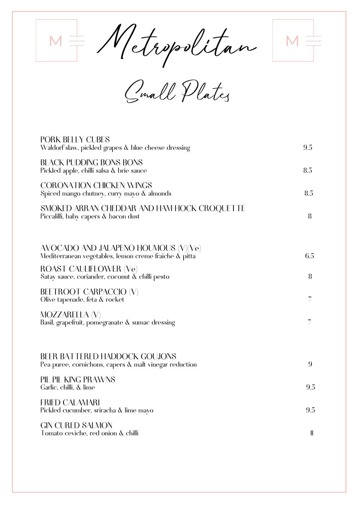$M$ etropolitan

Small Plates

| <b>PORK BELLY CUBES</b><br>Waldorf slaw, pickled grapes & blue cheese dressing                 | 9.5          |
|------------------------------------------------------------------------------------------------|--------------|
| <b>BLACK PUDDING BONS BONS</b><br>Pickled apple, chilli salsa & brie sauce                     | 8.5          |
| <b>CORONATION CHICKEN WINGS</b><br>Spiced mango chutney, curry mayo & almonds                  | 8.5          |
| SMOKED ARRAN CHEDDAR AND HAM HOCK CROQUETTE<br>Piccalilli, baby capers & bacon dust            | 8            |
| AVOCADO AND JALAPENO HOUMOUS (V)(Ve)<br>Mediterranean vegetables, lemon creme fraiche & pitta  | 6.5          |
| ROAST CAULIFLOWER (Ve)<br>Satay sauce, coriander, coconut & chilli pesto                       | 8            |
| <b>BEETROOT CARPACCIO (V)</b><br>Olive tapenade, feta & rocket                                 | 7            |
| <b>MOZZARELLA (V)</b><br>Basil, grapefruit, pomegranate & sumac dressing                       | 7            |
| <b>BEER BATTERED HADDOCK GOUJONS</b><br>Pea puree, cornichons, capers & malt vinegar reduction | 9            |
| PIL PIL KING PRAWNS<br>Garlic, chilli, & lime                                                  | 9.5          |
| <b>FRIED CALAMARI</b><br>Pickled cucumber, sriracha & lime mayo                                | 9.5          |
| <b>GIN CURED SALMON</b><br>Tomato ceviche, red onion & chilli                                  | $\mathbf{I}$ |